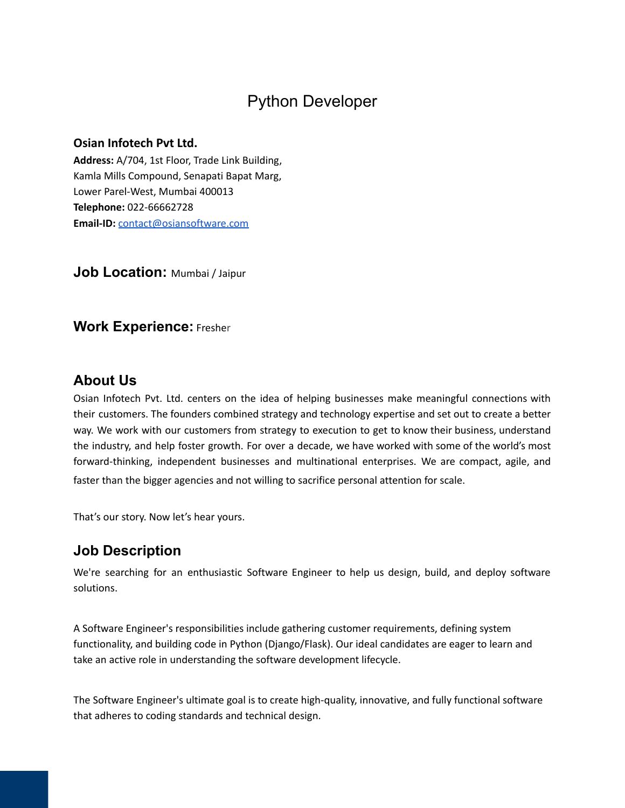# Python Developer

#### **Osian Infotech Pvt Ltd.**

**Address:** A/704, 1st Floor, Trade Link Building, Kamla Mills Compound, Senapati Bapat Marg, Lower Parel-West, Mumbai 400013 **Telephone:** 022-66662728 **Email-ID:** [contact@osiansoftware.com](mailto:contact@osiansoftware.com)

**Job Location:** Mumbai / Jaipur

### **Work Experience:** Fresher

### **About Us**

Osian Infotech Pvt. Ltd. centers on the idea of helping businesses make meaningful connections with their customers. The founders combined strategy and technology expertise and set out to create a better way. We work with our customers from strategy to execution to get to know their business, understand the industry, and help foster growth. For over a decade, we have worked with some of the world's most forward-thinking, independent businesses and multinational enterprises. We are compact, agile, and faster than the bigger agencies and not willing to sacrifice personal attention for scale.

That's our story. Now let's hear yours.

### **Job Description**

We're searching for an enthusiastic Software Engineer to help us design, build, and deploy software solutions.

A Software Engineer's responsibilities include gathering customer requirements, defining system functionality, and building code in Python (Django/Flask). Our ideal candidates are eager to learn and take an active role in understanding the software development lifecycle.

The Software Engineer's ultimate goal is to create high-quality, innovative, and fully functional software that adheres to coding standards and technical design.